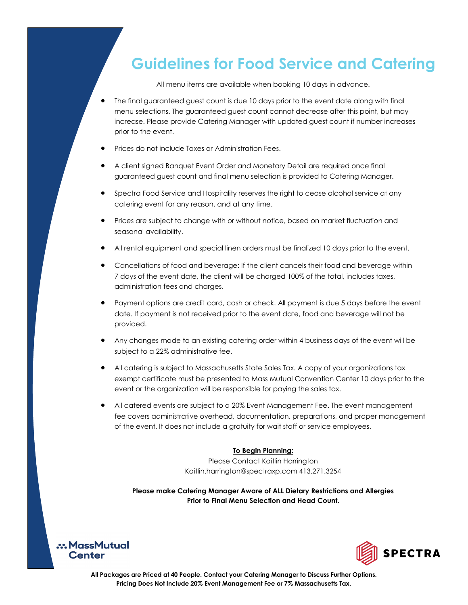## **Guidelines for Food Service and Catering**

All menu items are available when booking 10 days in advance.

- The final guaranteed guest count is due 10 days prior to the event date along with final menu selections. The guaranteed guest count cannot decrease after this point, but may increase. Please provide Catering Manager with updated guest count if number increases prior to the event.
- Prices do not include Taxes or Administration Fees.
- A client signed Banquet Event Order and Monetary Detail are required once final guaranteed guest count and final menu selection is provided to Catering Manager.
- Spectra Food Service and Hospitality reserves the right to cease alcohol service at any catering event for any reason, and at any time.
- Prices are subject to change with or without notice, based on market fluctuation and seasonal availability.
- All rental equipment and special linen orders must be finalized 10 days prior to the event.
- Cancellations of food and beverage: If the client cancels their food and beverage within 7 days of the event date, the client will be charged 100% of the total, includes taxes, administration fees and charges.
- Payment options are credit card, cash or check. All payment is due 5 days before the event date. If payment is not received prior to the event date, food and beverage will not be provided.
- Any changes made to an existing catering order within 4 business days of the event will be subject to a 22% administrative fee.
- All catering is subject to Massachusetts State Sales Tax. A copy of your organizations tax exempt certificate must be presented to Mass Mutual Convention Center 10 days prior to the event or the organization will be responsible for paying the sales tax.
- All catered events are subject to a 20% Event Management Fee. The event management fee covers administrative overhead, documentation, preparations, and proper management of the event. It does not include a gratuity for wait staff or service employees.

#### **To Begin Planning:**

Please Contact Kaitlin Harrington Kaitlin.harrington@spectraxp.com 413.271.3254

**Please make Catering Manager Aware of ALL Dietary Restrictions and Allergies Prior to Final Menu Selection and Head Count.** 



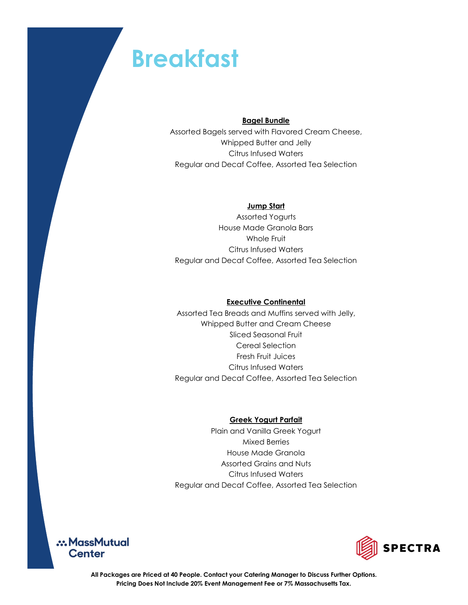## **Breakfast**

### **Bagel Bundle**

Assorted Bagels served with Flavored Cream Cheese, Whipped Butter and Jelly Citrus Infused Waters Regular and Decaf Coffee, Assorted Tea Selection

## **Jump Start**

Assorted Yogurts House Made Granola Bars Whole Fruit Citrus Infused Waters Regular and Decaf Coffee, Assorted Tea Selection

### **Executive Continental**

Assorted Tea Breads and Muffins served with Jelly, Whipped Butter and Cream Cheese Sliced Seasonal Fruit Cereal Selection Fresh Fruit Juices Citrus Infused Waters Regular and Decaf Coffee, Assorted Tea Selection

### **Greek Yogurt Parfait**

Plain and Vanilla Greek Yogurt Mixed Berries House Made Granola Assorted Grains and Nuts Citrus Infused Waters Regular and Decaf Coffee, Assorted Tea Selection



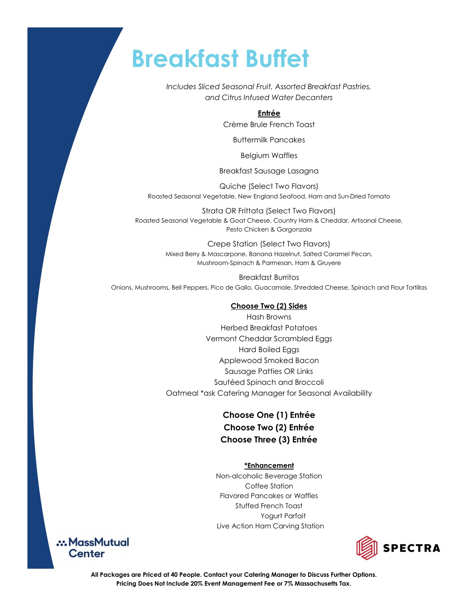## **Breakfast Buffet**

*Includes Sliced Seasonal Fruit, Assorted Breakfast Pastries, and Citrus Infused Water Decanters*

## **Entrée**

Crème Brule French Toast

Buttermilk Pancakes

Belgium Waffles

Breakfast Sausage Lasagna

Quiche (Select Two Flavors) Roasted Seasonal Vegetable, New England Seafood, Ham and Sun-Dried Tomato

Strata OR Frittata (Select Two Flavors) Roasted Seasonal Vegetable & Goat Cheese, Country Ham & Cheddar, Artisanal Cheese, Pesto Chicken & Gorgonzola

> Crepe Station (Select Two Flavors) Mixed Berry & Mascarpone, Banana Hazelnut, Salted Caramel Pecan, Mushroom-Spinach & Parmesan, Ham & Gruyere

Breakfast Burritos Onions, Mushrooms, Bell Peppers, Pico de Gallo, Guacamole, Shredded Cheese, Spinach and Flour Tortillas

#### **Choose Two (2) Sides**

Hash Browns Herbed Breakfast Potatoes Vermont Cheddar Scrambled Eggs Hard Boiled Eggs Applewood Smoked Bacon Sausage Patties OR Links Sautéed Spinach and Broccoli Oatmeal \*ask Catering Manager for Seasonal Availability

## **Choose One (1) Entrée Choose Two (2) Entrée Choose Three (3) Entrée**

#### **\*Enhancement**

Non-alcoholic Beverage Station Coffee Station Flavored Pancakes or Waffles Stuffed French Toast Yogurt Parfait Live Action Ham Carving Station



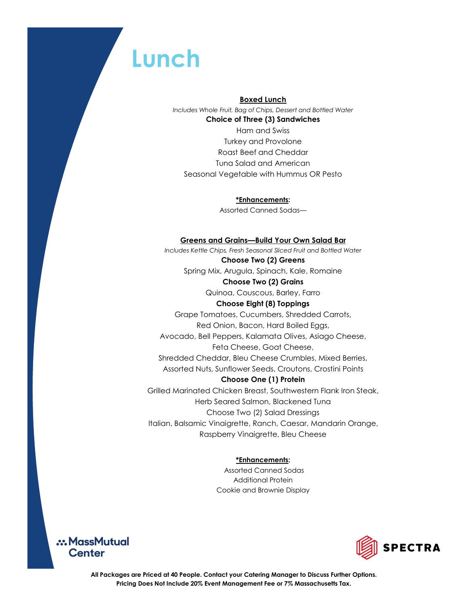## **Lunch**

#### **Boxed Lunch**

*Includes Whole Fruit, Bag of Chips, Dessert and Bottled Water*  **Choice of Three (3) Sandwiches** Ham and Swiss Turkey and Provolone Roast Beef and Cheddar Tuna Salad and American

Seasonal Vegetable with Hummus OR Pesto

**\*Enhancements:**  Assorted Canned Sodas—

### **Greens and Grains—Build Your Own Salad Bar**

*Includes Kettle Chips, Fresh Seasonal Sliced Fruit and Bottled Water*  **Choose Two (2) Greens** Spring Mix, Arugula, Spinach, Kale, Romaine **Choose Two (2) Grains** Quinoa, Couscous, Barley, Farro **Choose Eight (8) Toppings** Grape Tomatoes, Cucumbers, Shredded Carrots, Red Onion, Bacon, Hard Boiled Eggs, Avocado, Bell Peppers, Kalamata Olives, Asiago Cheese, Feta Cheese, Goat Cheese, Shredded Cheddar, Bleu Cheese Crumbles, Mixed Berries, Assorted Nuts, Sunflower Seeds, Croutons, Crostini Points **Choose One (1) Protein** Grilled Marinated Chicken Breast, Southwestern Flank Iron Steak, Herb Seared Salmon, Blackened Tuna Choose Two (2) Salad Dressings Italian, Balsamic Vinaigrette, Ranch, Caesar, Mandarin Orange, Raspberry Vinaigrette, Bleu Cheese

## **\*Enhancements:**

Assorted Canned Sodas Additional Protein Cookie and Brownie Display



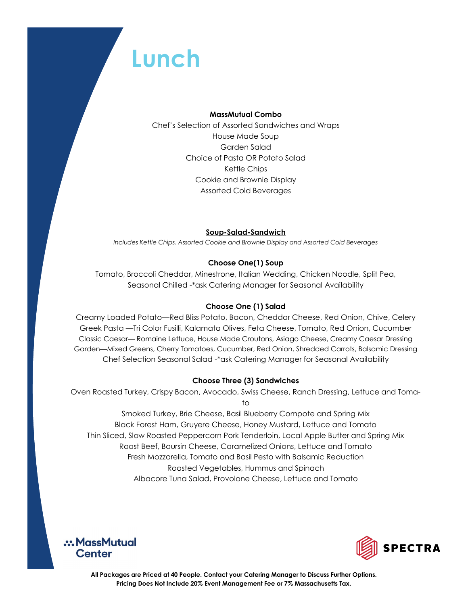## **Lunch**

### **MassMutual Combo**

Chef's Selection of Assorted Sandwiches and Wraps House Made Soup Garden Salad Choice of Pasta OR Potato Salad Kettle Chips Cookie and Brownie Display Assorted Cold Beverages

## **Soup-Salad-Sandwich**

*Includes Kettle Chips, Assorted Cookie and Brownie Display and Assorted Cold Beverages* 

## **Choose One(1) Soup**

Tomato, Broccoli Cheddar, Minestrone, Italian Wedding, Chicken Noodle, Split Pea, Seasonal Chilled -\*ask Catering Manager for Seasonal Availability

## **Choose One (1) Salad**

Creamy Loaded Potato—Red Bliss Potato, Bacon, Cheddar Cheese, Red Onion, Chive, Celery Greek Pasta —Tri Color Fusilli, Kalamata Olives, Feta Cheese, Tomato, Red Onion, Cucumber Classic Caesar— Romaine Lettuce, House Made Croutons, Asiago Cheese, Creamy Caesar Dressing Garden—Mixed Greens, Cherry Tomatoes, Cucumber, Red Onion, Shredded Carrots, Balsamic Dressing Chef Selection Seasonal Salad -\*ask Catering Manager for Seasonal Availability

## **Choose Three (3) Sandwiches**

Oven Roasted Turkey, Crispy Bacon, Avocado, Swiss Cheese, Ranch Dressing, Lettuce and Tomato

Smoked Turkey, Brie Cheese, Basil Blueberry Compote and Spring Mix Black Forest Ham, Gruyere Cheese, Honey Mustard, Lettuce and Tomato Thin Sliced, Slow Roasted Peppercorn Pork Tenderloin, Local Apple Butter and Spring Mix Roast Beef, Boursin Cheese, Caramelized Onions, Lettuce and Tomato Fresh Mozzarella, Tomato and Basil Pesto with Balsamic Reduction Roasted Vegetables, Hummus and Spinach Albacore Tuna Salad, Provolone Cheese, Lettuce and Tomato



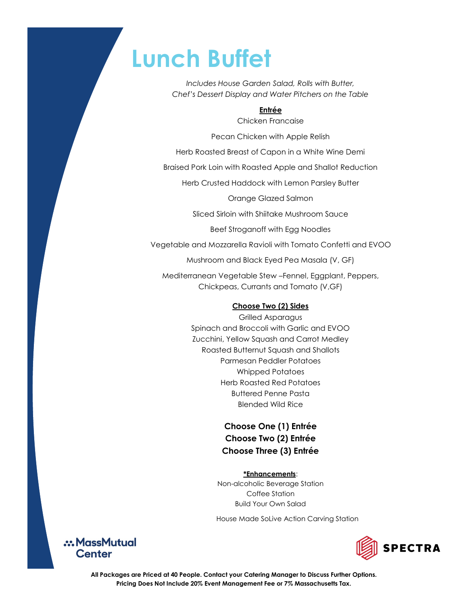## **Lunch Buffet**

*Includes House Garden Salad, Rolls with Butter, Chef's Dessert Display and Water Pitchers on the Table*

### **Entrée**

Chicken Francaise

Pecan Chicken with Apple Relish

Herb Roasted Breast of Capon in a White Wine Demi

Braised Pork Loin with Roasted Apple and Shallot Reduction

Herb Crusted Haddock with Lemon Parsley Butter

Orange Glazed Salmon

Sliced Sirloin with Shiitake Mushroom Sauce

Beef Stroganoff with Egg Noodles

Vegetable and Mozzarella Ravioli with Tomato Confetti and EVOO

Mushroom and Black Eyed Pea Masala (V, GF)

Mediterranean Vegetable Stew –Fennel, Eggplant, Peppers, Chickpeas, Currants and Tomato (V,GF)

### **Choose Two (2) Sides**

Grilled Asparagus Spinach and Broccoli with Garlic and EVOO Zucchini, Yellow Squash and Carrot Medley Roasted Butternut Squash and Shallots Parmesan Peddler Potatoes Whipped Potatoes Herb Roasted Red Potatoes Buttered Penne Pasta Blended Wild Rice

## **Choose One (1) Entrée Choose Two (2) Entrée Choose Three (3) Entrée**

#### **\*Enhancements**:

Non-alcoholic Beverage Station Coffee Station Build Your Own Salad

House Made SoLive Action Carving Station



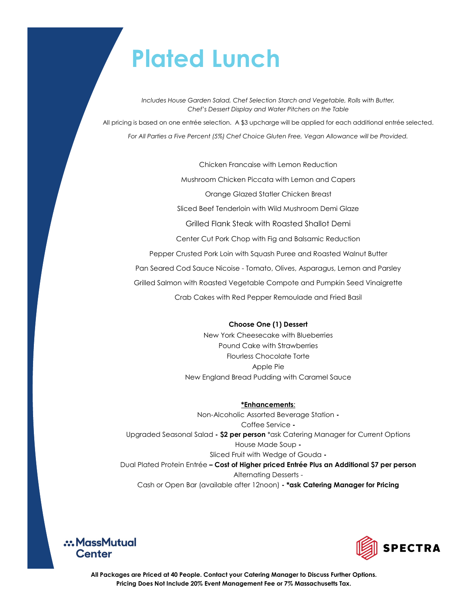# **Plated Lunch**

*Includes House Garden Salad, Chef Selection Starch and Vegetable, Rolls with Butter, Chef's Dessert Display and Water Pitchers on the Table*

All pricing is based on one entrée selection. A \$3 upcharge will be applied for each additional entrée selected. *For All Parties a Five Percent (5%) Chef Choice Gluten Free, Vegan Allowance will be Provided.*

Chicken Francaise with Lemon Reduction

Mushroom Chicken Piccata with Lemon and Capers

Orange Glazed Statler Chicken Breast

Sliced Beef Tenderloin with Wild Mushroom Demi Glaze

Grilled Flank Steak with Roasted Shallot Demi

Center Cut Pork Chop with Fig and Balsamic Reduction

Pepper Crusted Pork Loin with Squash Puree and Roasted Walnut Butter

Pan Seared Cod Sauce Nicoise - Tomato, Olives, Asparagus, Lemon and Parsley

Grilled Salmon with Roasted Vegetable Compote and Pumpkin Seed Vinaigrette

Crab Cakes with Red Pepper Remoulade and Fried Basil

#### **Choose One (1) Dessert**

New York Cheesecake with Blueberries Pound Cake with Strawberries Flourless Chocolate Torte Apple Pie New England Bread Pudding with Caramel Sauce

**\*Enhancements**:

Non-Alcoholic Assorted Beverage Station **-** Coffee Service **-** Upgraded Seasonal Salad **- \$2 per person** \*ask Catering Manager for Current Options House Made Soup **-** Sliced Fruit with Wedge of Gouda **-** Dual Plated Protein Entrée **– Cost of Higher priced Entrée Plus an Additional \$7 per person** Alternating Desserts - Cash or Open Bar (available after 12noon) **- \*ask Catering Manager for Pricing** 



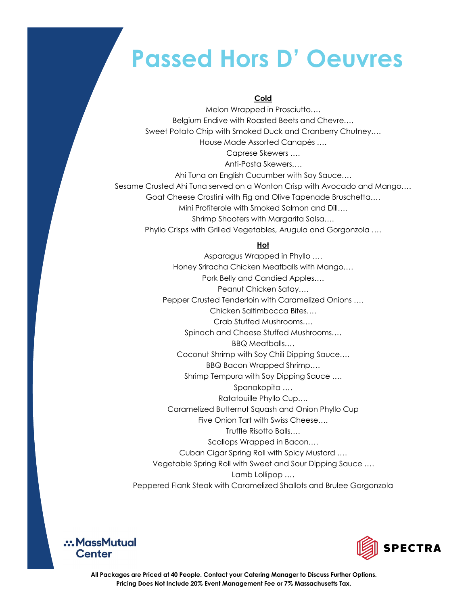## **Passed Hors D' Oeuvres**

### **Cold**

Melon Wrapped in Prosciutto…. Belgium Endive with Roasted Beets and Chevre…. Sweet Potato Chip with Smoked Duck and Cranberry Chutney…. House Made Assorted Canapés …. Caprese Skewers …. Anti-Pasta Skewers…. Ahi Tuna on English Cucumber with Soy Sauce…. Sesame Crusted Ahi Tuna served on a Wonton Crisp with Avocado and Mango…. Goat Cheese Crostini with Fig and Olive Tapenade Bruschetta…. Mini Profiterole with Smoked Salmon and Dill…. Shrimp Shooters with Margarita Salsa…. Phyllo Crisps with Grilled Vegetables, Arugula and Gorgonzola ….

### **Hot**

Asparagus Wrapped in Phyllo …. Honey Sriracha Chicken Meatballs with Mango…. Pork Belly and Candied Apples…. Peanut Chicken Satay…. Pepper Crusted Tenderloin with Caramelized Onions …. Chicken Saltimbocca Bites…. Crab Stuffed Mushrooms…. Spinach and Cheese Stuffed Mushrooms…. BBQ Meatballs…. Coconut Shrimp with Soy Chili Dipping Sauce…. BBQ Bacon Wrapped Shrimp…. Shrimp Tempura with Soy Dipping Sauce …. Spanakopita …. Ratatouille Phyllo Cup…. Caramelized Butternut Squash and Onion Phyllo Cup Five Onion Tart with Swiss Cheese…. Truffle Risotto Balls…. Scallops Wrapped in Bacon…. Cuban Cigar Spring Roll with Spicy Mustard …. Vegetable Spring Roll with Sweet and Sour Dipping Sauce …. Lamb Lollipop …. Peppered Flank Steak with Caramelized Shallots and Brulee Gorgonzola



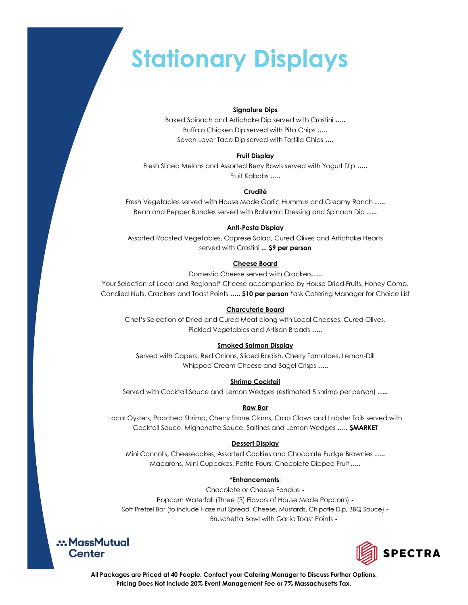# **Stationary Displays**

#### **Signature Dips**

Baked Spinach and Artichoke Dip served with Crostini **…..**  Buffalo Chicken Dip served with Pita Chips **…..**  Seven Layer Taco Dip served with Tortilla Chips **….** 

#### **Fruit Display**

Fresh Sliced Melons and Assorted Berry Bowls served with Yogurt Dip **…..**  Fruit Kabobs **…..** 

#### **Crudité**

Fresh Vegetables served with House Made Garlic Hummus and Creamy Ranch **…..**  Bean and Pepper Bundles served with Balsamic Dressing and Spinach Dip **…..** 

#### **Anti-Pasta Display**

Assorted Roasted Vegetables, Caprese Salad, Cured Olives and Artichoke Hearts served with Crostini **... \$9 per person**

#### **Cheese Board**

Domestic Cheese served with Crackers**…..** 

Your Selection of Local and Regional\* Cheese accompanied by House Dried Fruits, Honey Comb, Candied Nuts, Crackers and Toast Points **….. \$10 per person** \*ask Catering Manager for Choice List

#### **Charcuterie Board**

Chef's Selection of Dried and Cured Meat along with Local Cheeses, Cured Olives, Pickled Vegetables and Artisan Breads **…..** 

#### **Smoked Salmon Display**

Served with Capers, Red Onions, Sliced Radish, Cherry Tomatoes, Lemon-Dill Whipped Cream Cheese and Bagel Crisps **…..** 

#### **Shrimp Cocktail**

Served with Cocktail Sauce and Lemon Wedges (estimated 5 shrimp per person) **…..** 

#### **Raw Bar**

Local Oysters, Poached Shrimp, Cherry Stone Clams, Crab Claws and Lobster Tails served with Cocktail Sauce, Mignonette Sauce, Saltines and Lemon Wedges **….. \$MARKET**

#### **Dessert Display**

Mini Cannolis, Cheesecakes, Assorted Cookies and Chocolate Fudge Brownies **…..**  Macarons, Mini Cupcakes, Petite Fours, Chocolate Dipped Fruit **…..** 

#### **\*Enhancements**:

Chocolate or Cheese Fondue **-** Popcorn Waterfall (Three (3) Flavors of House Made Popcorn) **-** Soft Pretzel Bar (to include Hazelnut Spread, Cheese, Mustards, Chipotle Dip, BBQ Sauce) **-** Bruschetta Bowl with Garlic Toast Points **-**



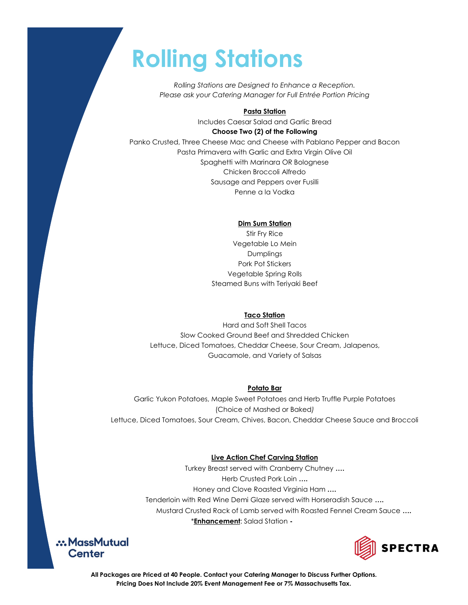# **Rolling Stations**

*Rolling Stations are Designed to Enhance a Reception. Please ask your Catering Manager for Full Entrée Portion Pricing*

#### **Pasta Station**

Includes Caesar Salad and Garlic Bread **Choose Two (2) of the Following** 

Panko Crusted, Three Cheese Mac and Cheese with Pablano Pepper and Bacon Pasta Primavera with Garlic and Extra Virgin Olive Oil Spaghetti with Marinara OR Bolognese Chicken Broccoli Alfredo Sausage and Peppers over Fusilli Penne a la Vodka

#### **Dim Sum Station**

Stir Fry Rice Vegetable Lo Mein Dumplings Pork Pot Stickers Vegetable Spring Rolls Steamed Buns with Teriyaki Beef

#### **Taco Station**

Hard and Soft Shell Tacos Slow Cooked Ground Beef and Shredded Chicken Lettuce, Diced Tomatoes, Cheddar Cheese, Sour Cream, Jalapenos, Guacamole, and Variety of Salsas

#### **Potato Bar**

Garlic Yukon Potatoes, Maple Sweet Potatoes and Herb Truffle Purple Potatoes (Choice of Mashed or Baked*)* Lettuce, Diced Tomatoes, Sour Cream, Chives, Bacon, Cheddar Cheese Sauce and Broccoli

#### **Live Action Chef Carving Station**

Turkey Breast served with Cranberry Chutney **….**  Herb Crusted Pork Loin **….**  Honey and Clove Roasted Virginia Ham **….**  Tenderloin with Red Wine Demi Glaze served with Horseradish Sauce **….**  Mustard Crusted Rack of Lamb served with Roasted Fennel Cream Sauce **….**  \***Enhancement**: Salad Station **-** 



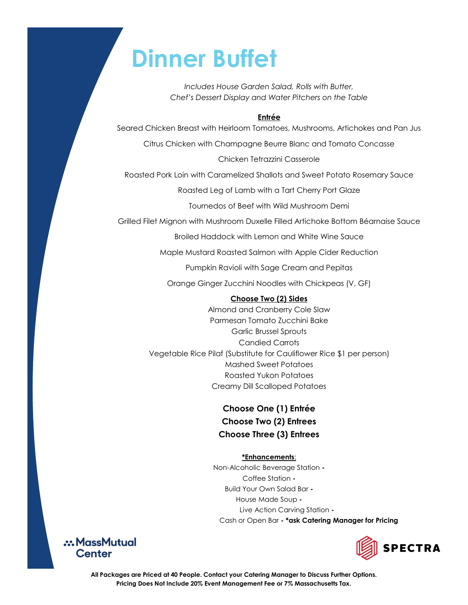## **Dinner Buffet**

*Includes House Garden Salad, Rolls with Butter, Chef's Dessert Display and Water Pitchers on the Table*

## **Entrée**

Seared Chicken Breast with Heirloom Tomatoes, Mushrooms, Artichokes and Pan Jus

Citrus Chicken with Champagne Beurre Blanc and Tomato Concasse

Chicken Tetrazzini Casserole

Roasted Pork Loin with Caramelized Shallots and Sweet Potato Rosemary Sauce

Roasted Leg of Lamb with a Tart Cherry Port Glaze

Tournedos of Beef with Wild Mushroom Demi

Grilled Filet Mignon with Mushroom Duxelle Filled Artichoke Bottom Béarnaise Sauce

Broiled Haddock with Lemon and White Wine Sauce

Maple Mustard Roasted Salmon with Apple Cider Reduction

Pumpkin Ravioli with Sage Cream and Pepitas

Orange Ginger Zucchini Noodles with Chickpeas (V, GF)

## **Choose Two (2) Sides**

Almond and Cranberry Cole Slaw Parmesan Tomato Zucchini Bake Garlic Brussel Sprouts Candied Carrots Vegetable Rice Pilaf (Substitute for Cauliflower Rice \$1 per person) Mashed Sweet Potatoes Roasted Yukon Potatoes Creamy Dill Scalloped Potatoes

## **Choose One (1) Entrée Choose Two (2) Entrees Choose Three (3) Entrees**

## **\*Enhancements**:

Non-Alcoholic Beverage Station **-** Coffee Station **-** Build Your Own Salad Bar **-**  House Made Soup **-** Live Action Carving Station **-**  Cash or Open Bar **- \*ask Catering Manager for Pricing** 



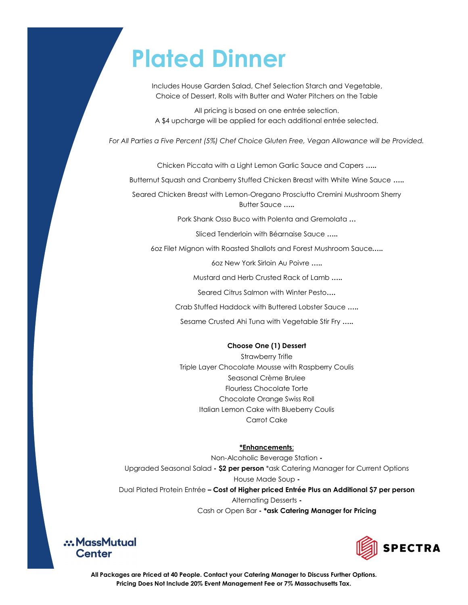## **Plated Dinner**

Includes House Garden Salad, Chef Selection Starch and Vegetable, Choice of Dessert, Rolls with Butter and Water Pitchers on the Table

All pricing is based on one entrée selection. A \$4 upcharge will be applied for each additional entrée selected.

*For All Parties a Five Percent (5%) Chef Choice Gluten Free, Vegan Allowance will be Provided.*

Chicken Piccata with a Light Lemon Garlic Sauce and Capers **…..** 

Butternut Squash and Cranberry Stuffed Chicken Breast with White Wine Sauce **…..** 

Seared Chicken Breast with Lemon-Oregano Prosciutto Cremini Mushroom Sherry Butter Sauce **…..** 

Pork Shank Osso Buco with Polenta and Gremolata **…**

Sliced Tenderloin with Béarnaise Sauce **…..** 

6oz Filet Mignon with Roasted Shallots and Forest Mushroom Sauce**…..** 

6oz New York Sirloin Au Poivre **…..** 

Mustard and Herb Crusted Rack of Lamb **…..**

Seared Citrus Salmon with Winter Pesto**….**

Crab Stuffed Haddock with Buttered Lobster Sauce **…..** 

Sesame Crusted Ahi Tuna with Vegetable Stir Fry **…..** 

#### **Choose One (1) Dessert**

Strawberry Trifle Triple Layer Chocolate Mousse with Raspberry Coulis Seasonal Crème Brulee Flourless Chocolate Torte Chocolate Orange Swiss Roll Italian Lemon Cake with Blueberry Coulis Carrot Cake

#### **\*Enhancements**:

Non-Alcoholic Beverage Station **-** Upgraded Seasonal Salad **- \$2 per person** \*ask Catering Manager for Current Options House Made Soup **-** Dual Plated Protein Entrée **– Cost of Higher priced Entrée Plus an Additional \$7 per person**  Alternating Desserts **-** Cash or Open Bar **- \*ask Catering Manager for Pricing**